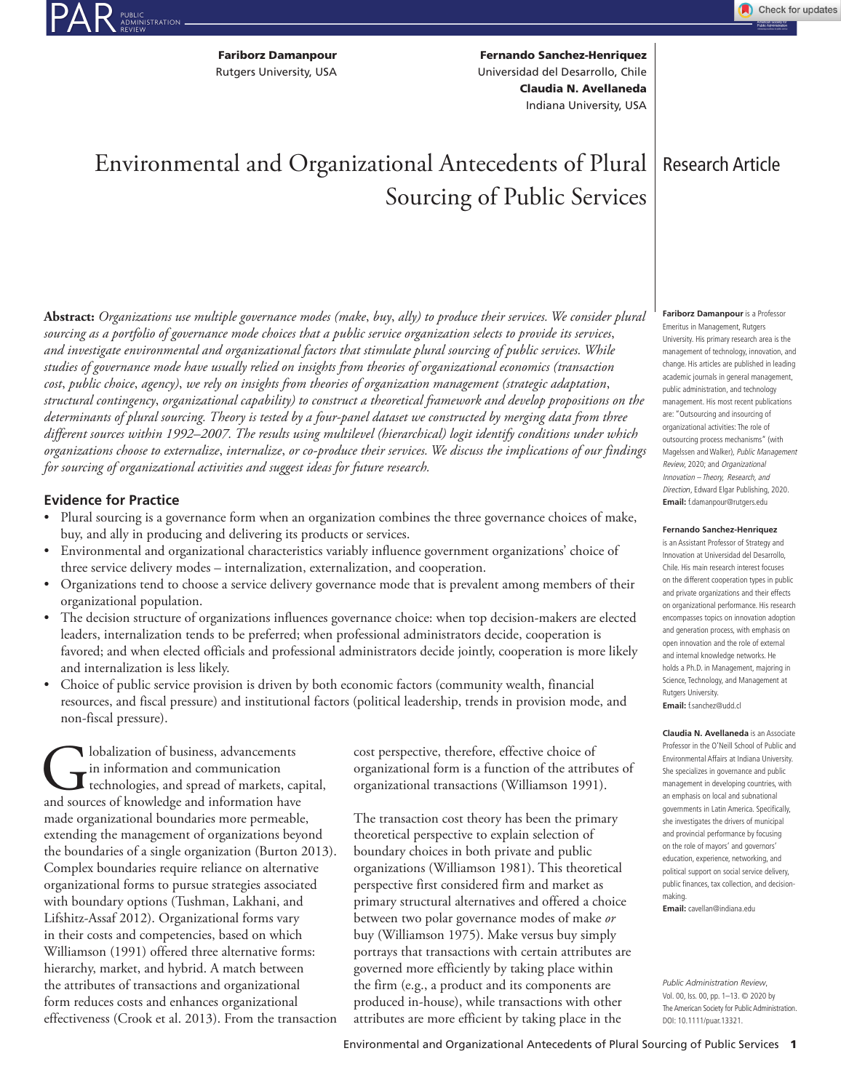PUBLIC<br>ADMINISTRATION<br>REVIEW

Fariborz Damanpour Rutgers University, USA

Fernando Sanchez-Henriquez Claudia N. Avellaneda Universidad del Desarrollo, Chile Indiana University, USA

# Environmental and Organizational Antecedents of Plural Sourcing of Public Services

**Abstract:** *Organizations use multiple governance modes (make*, *buy*, *ally) to produce their services. We consider plural sourcing as a portfolio of governance mode choices that a public service organization selects to provide its services*, *and investigate environmental and organizational factors that stimulate plural sourcing of public services. While studies of governance mode have usually relied on insights from theories of organizational economics (transaction cost*, *public choice*, *agency)*, *we rely on insights from theories of organization management (strategic adaptation*, *structural contingency*, *organizational capability) to construct a theoretical framework and develop propositions on the determinants of plural sourcing. Theory is tested by a four-panel dataset we constructed by merging data from three different sources within 1992–2007. The results using multilevel (hierarchical) logit identify conditions under which organizations choose to externalize*, *internalize*, *or co-produce their services. We discuss the implications of our findings for sourcing of organizational activities and suggest ideas for future research.*

#### **Evidence for Practice**

- Plural sourcing is a governance form when an organization combines the three governance choices of make, buy, and ally in producing and delivering its products or services.
- Environmental and organizational characteristics variably influence government organizations' choice of three service delivery modes – internalization, externalization, and cooperation.
- Organizations tend to choose a service delivery governance mode that is prevalent among members of their organizational population.
- The decision structure of organizations influences governance choice: when top decision-makers are elected leaders, internalization tends to be preferred; when professional administrators decide, cooperation is favored; and when elected officials and professional administrators decide jointly, cooperation is more likely and internalization is less likely.
- Choice of public service provision is driven by both economic factors (community wealth, financial resources, and fiscal pressure) and institutional factors (political leadership, trends in provision mode, and non-fiscal pressure).

**C**lobalization of business, advancements<br>
in information and communication<br>
and sources of knowledge and information have in information and communication technologies, and spread of markets, capital, made organizational boundaries more permeable, extending the management of organizations beyond the boundaries of a single organization (Burton 2013). Complex boundaries require reliance on alternative organizational forms to pursue strategies associated with boundary options (Tushman, Lakhani, and Lifshitz-Assaf 2012). Organizational forms vary in their costs and competencies, based on which Williamson (1991) offered three alternative forms: hierarchy, market, and hybrid. A match between the attributes of transactions and organizational form reduces costs and enhances organizational effectiveness (Crook et al. 2013). From the transaction

cost perspective, therefore, effective choice of organizational form is a function of the attributes of organizational transactions (Williamson 1991).

The transaction cost theory has been the primary theoretical perspective to explain selection of boundary choices in both private and public organizations (Williamson 1981). This theoretical perspective first considered firm and market as primary structural alternatives and offered a choice between two polar governance modes of make *or* buy (Williamson 1975). Make versus buy simply portrays that transactions with certain attributes are governed more efficiently by taking place within the firm (e.g., a product and its components are produced in-house), while transactions with other attributes are more efficient by taking place in the

# Research Article

**Fariborz Damanpour** is a Professor Emeritus in Management, Rutgers University. His primary research area is the management of technology, innovation, and change. His articles are published in leading academic journals in general management, public administration, and technology management. His most recent publications are: "Outsourcing and insourcing of organizational activities: The role of outsourcing process mechanisms" (with Magelssen and Walker), Public Management Review, 2020; and Organizational Innovation – Theory*,* Research, and Directio*n*, Edward Elgar Publishing, 2020. **Email:** f.damanpour@rutgers.edu

#### **Fernando Sanchez-Henriquez**

is an Assistant Professor of Strategy and Innovation at Universidad del Desarrollo, Chile. His main research interest focuses on the different cooperation types in public and private organizations and their effects on organizational performance. His research encompasses topics on innovation adoption and generation process, with emphasis on open innovation and the role of external and internal knowledge networks. He holds a Ph.D. in Management, majoring in Science, Technology, and Management at Rutgers University. **Email:** f.sanchez@udd.cl

**Claudia N. Avellaneda** is an Associate Professor in the O'Neill School of Public and Environmental Affairs at Indiana University. She specializes in governance and public management in developing countries, with an emphasis on local and subnational governments in Latin America. Specifically, she investigates the drivers of municipal and provincial performance by focusing on the role of mayors' and governors' education, experience, networking, and political support on social service delivery, public finances, tax collection, and decisionmaking.

**Email:** cavellan@indiana.edu

*Public Administration Review*, Vol. 00, Iss. 00, pp. 1–13. © 2020 by The American Society for Public Administration. DOI: 10.1111/puar.13321.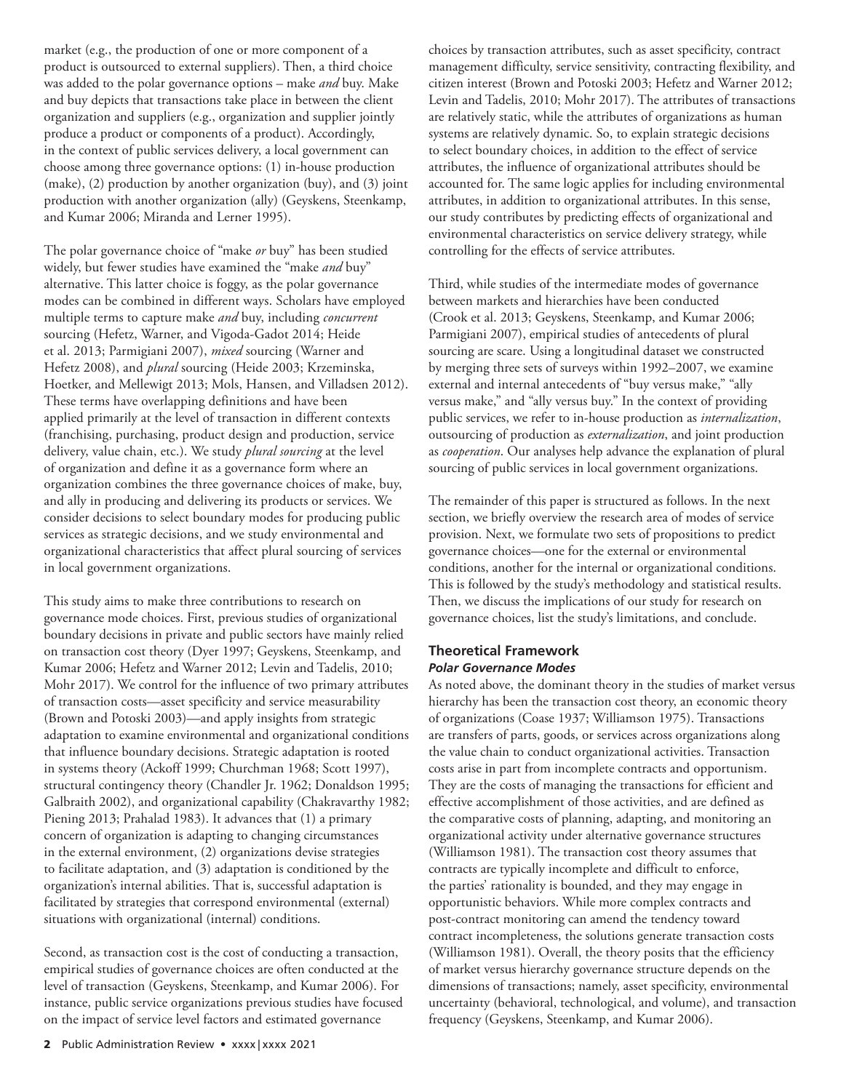market (e.g., the production of one or more component of a product is outsourced to external suppliers). Then, a third choice was added to the polar governance options – make *and* buy. Make and buy depicts that transactions take place in between the client organization and suppliers (e.g., organization and supplier jointly produce a product or components of a product). Accordingly, in the context of public services delivery, a local government can choose among three governance options: (1) in-house production (make), (2) production by another organization (buy), and (3) joint production with another organization (ally) (Geyskens, Steenkamp, and Kumar 2006; Miranda and Lerner 1995).

The polar governance choice of "make *or* buy" has been studied widely, but fewer studies have examined the "make *and* buy" alternative. This latter choice is foggy, as the polar governance modes can be combined in different ways. Scholars have employed multiple terms to capture make *and* buy, including *concurrent* sourcing (Hefetz, Warner, and Vigoda-Gadot 2014; Heide et al. 2013; Parmigiani 2007), *mixed* sourcing (Warner and Hefetz 2008), and *plural* sourcing (Heide 2003; Krzeminska, Hoetker, and Mellewigt 2013; Mols, Hansen, and Villadsen 2012). These terms have overlapping definitions and have been applied primarily at the level of transaction in different contexts (franchising, purchasing, product design and production, service delivery, value chain, etc.). We study *plural sourcing* at the level of organization and define it as a governance form where an organization combines the three governance choices of make, buy, and ally in producing and delivering its products or services. We consider decisions to select boundary modes for producing public services as strategic decisions, and we study environmental and organizational characteristics that affect plural sourcing of services in local government organizations.

This study aims to make three contributions to research on governance mode choices. First, previous studies of organizational boundary decisions in private and public sectors have mainly relied on transaction cost theory (Dyer 1997; Geyskens, Steenkamp, and Kumar 2006; Hefetz and Warner 2012; Levin and Tadelis, 2010; Mohr 2017). We control for the influence of two primary attributes of transaction costs—asset specificity and service measurability (Brown and Potoski 2003)—and apply insights from strategic adaptation to examine environmental and organizational conditions that influence boundary decisions. Strategic adaptation is rooted in systems theory (Ackoff 1999; Churchman 1968; Scott 1997), structural contingency theory (Chandler Jr. 1962; Donaldson 1995; Galbraith 2002), and organizational capability (Chakravarthy 1982; Piening 2013; Prahalad 1983). It advances that (1) a primary concern of organization is adapting to changing circumstances in the external environment, (2) organizations devise strategies to facilitate adaptation, and (3) adaptation is conditioned by the organization's internal abilities. That is, successful adaptation is facilitated by strategies that correspond environmental (external) situations with organizational (internal) conditions.

Second, as transaction cost is the cost of conducting a transaction, empirical studies of governance choices are often conducted at the level of transaction (Geyskens, Steenkamp, and Kumar 2006). For instance, public service organizations previous studies have focused on the impact of service level factors and estimated governance

choices by transaction attributes, such as asset specificity, contract management difficulty, service sensitivity, contracting flexibility, and citizen interest (Brown and Potoski 2003; Hefetz and Warner 2012; Levin and Tadelis, 2010; Mohr 2017). The attributes of transactions are relatively static, while the attributes of organizations as human systems are relatively dynamic. So, to explain strategic decisions to select boundary choices, in addition to the effect of service attributes, the influence of organizational attributes should be accounted for. The same logic applies for including environmental attributes, in addition to organizational attributes. In this sense, our study contributes by predicting effects of organizational and environmental characteristics on service delivery strategy, while controlling for the effects of service attributes.

Third, while studies of the intermediate modes of governance between markets and hierarchies have been conducted (Crook et al. 2013; Geyskens, Steenkamp, and Kumar 2006; Parmigiani 2007), empirical studies of antecedents of plural sourcing are scare. Using a longitudinal dataset we constructed by merging three sets of surveys within 1992–2007, we examine external and internal antecedents of "buy versus make," "ally versus make," and "ally versus buy." In the context of providing public services, we refer to in-house production as *internalization*, outsourcing of production as *externalization*, and joint production as *cooperation*. Our analyses help advance the explanation of plural sourcing of public services in local government organizations.

The remainder of this paper is structured as follows. In the next section, we briefly overview the research area of modes of service provision. Next, we formulate two sets of propositions to predict governance choices—one for the external or environmental conditions, another for the internal or organizational conditions. This is followed by the study's methodology and statistical results. Then, we discuss the implications of our study for research on governance choices, list the study's limitations, and conclude.

# **Theoretical Framework** *Polar Governance Modes*

As noted above, the dominant theory in the studies of market versus hierarchy has been the transaction cost theory, an economic theory of organizations (Coase 1937; Williamson 1975). Transactions are transfers of parts, goods, or services across organizations along the value chain to conduct organizational activities. Transaction costs arise in part from incomplete contracts and opportunism. They are the costs of managing the transactions for efficient and effective accomplishment of those activities, and are defined as the comparative costs of planning, adapting, and monitoring an organizational activity under alternative governance structures (Williamson 1981). The transaction cost theory assumes that contracts are typically incomplete and difficult to enforce, the parties' rationality is bounded, and they may engage in opportunistic behaviors. While more complex contracts and post-contract monitoring can amend the tendency toward contract incompleteness, the solutions generate transaction costs (Williamson 1981). Overall, the theory posits that the efficiency of market versus hierarchy governance structure depends on the dimensions of transactions; namely, asset specificity, environmental uncertainty (behavioral, technological, and volume), and transaction frequency (Geyskens, Steenkamp, and Kumar 2006).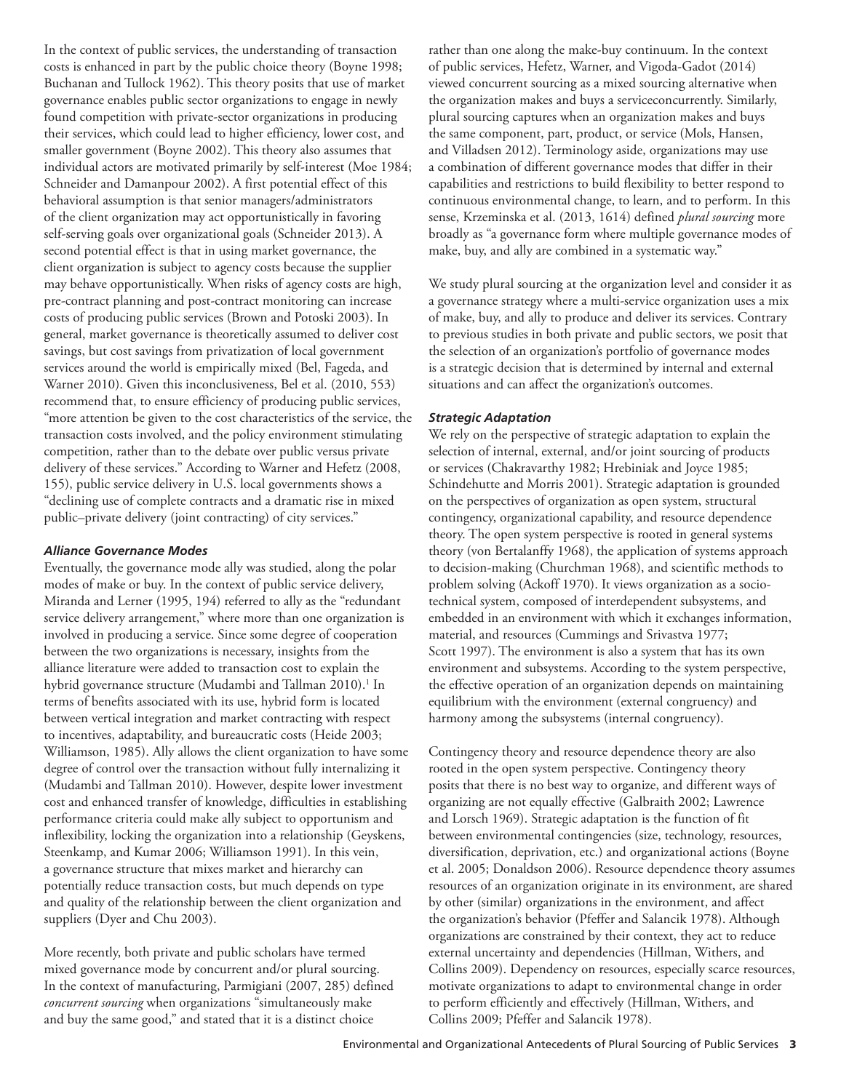In the context of public services, the understanding of transaction costs is enhanced in part by the public choice theory (Boyne 1998; Buchanan and Tullock 1962). This theory posits that use of market governance enables public sector organizations to engage in newly found competition with private-sector organizations in producing their services, which could lead to higher efficiency, lower cost, and smaller government (Boyne 2002). This theory also assumes that individual actors are motivated primarily by self-interest (Moe 1984; Schneider and Damanpour 2002). A first potential effect of this behavioral assumption is that senior managers/administrators of the client organization may act opportunistically in favoring self-serving goals over organizational goals (Schneider 2013). A second potential effect is that in using market governance, the client organization is subject to agency costs because the supplier may behave opportunistically. When risks of agency costs are high, pre-contract planning and post-contract monitoring can increase costs of producing public services (Brown and Potoski 2003). In general, market governance is theoretically assumed to deliver cost savings, but cost savings from privatization of local government services around the world is empirically mixed (Bel, Fageda, and Warner 2010). Given this inconclusiveness, Bel et al. (2010, 553) recommend that, to ensure efficiency of producing public services, "more attention be given to the cost characteristics of the service, the transaction costs involved, and the policy environment stimulating competition, rather than to the debate over public versus private delivery of these services." According to Warner and Hefetz (2008, 155), public service delivery in U.S. local governments shows a "declining use of complete contracts and a dramatic rise in mixed public–private delivery (joint contracting) of city services."

#### *Alliance Governance Modes*

Eventually, the governance mode ally was studied, along the polar modes of make or buy. In the context of public service delivery, Miranda and Lerner (1995, 194) referred to ally as the "redundant service delivery arrangement," where more than one organization is involved in producing a service. Since some degree of cooperation between the two organizations is necessary, insights from the alliance literature were added to transaction cost to explain the hybrid governance structure (Mudambi and Tallman 2010).<sup>1</sup> In terms of benefits associated with its use, hybrid form is located between vertical integration and market contracting with respect to incentives, adaptability, and bureaucratic costs (Heide 2003; Williamson, 1985). Ally allows the client organization to have some degree of control over the transaction without fully internalizing it (Mudambi and Tallman 2010). However, despite lower investment cost and enhanced transfer of knowledge, difficulties in establishing performance criteria could make ally subject to opportunism and inflexibility, locking the organization into a relationship (Geyskens, Steenkamp, and Kumar 2006; Williamson 1991). In this vein, a governance structure that mixes market and hierarchy can potentially reduce transaction costs, but much depends on type and quality of the relationship between the client organization and suppliers (Dyer and Chu 2003).

More recently, both private and public scholars have termed mixed governance mode by concurrent and/or plural sourcing. In the context of manufacturing, Parmigiani (2007, 285) defined *concurrent sourcing* when organizations "simultaneously make and buy the same good," and stated that it is a distinct choice

rather than one along the make-buy continuum. In the context of public services, Hefetz, Warner, and Vigoda-Gadot (2014) viewed concurrent sourcing as a mixed sourcing alternative when the organization makes and buys a serviceconcurrently. Similarly, plural sourcing captures when an organization makes and buys the same component, part, product, or service (Mols, Hansen, and Villadsen 2012). Terminology aside, organizations may use a combination of different governance modes that differ in their capabilities and restrictions to build flexibility to better respond to continuous environmental change, to learn, and to perform. In this sense, Krzeminska et al. (2013, 1614) defined *plural sourcing* more broadly as "a governance form where multiple governance modes of make, buy, and ally are combined in a systematic way."

We study plural sourcing at the organization level and consider it as a governance strategy where a multi-service organization uses a mix of make, buy, and ally to produce and deliver its services. Contrary to previous studies in both private and public sectors, we posit that the selection of an organization's portfolio of governance modes is a strategic decision that is determined by internal and external situations and can affect the organization's outcomes.

# *Strategic Adaptation*

We rely on the perspective of strategic adaptation to explain the selection of internal, external, and/or joint sourcing of products or services (Chakravarthy 1982; Hrebiniak and Joyce 1985; Schindehutte and Morris 2001). Strategic adaptation is grounded on the perspectives of organization as open system, structural contingency, organizational capability, and resource dependence theory. The open system perspective is rooted in general systems theory (von Bertalanffy 1968), the application of systems approach to decision-making (Churchman 1968), and scientific methods to problem solving (Ackoff 1970). It views organization as a sociotechnical system, composed of interdependent subsystems, and embedded in an environment with which it exchanges information, material, and resources (Cummings and Srivastva 1977; Scott 1997). The environment is also a system that has its own environment and subsystems. According to the system perspective, the effective operation of an organization depends on maintaining equilibrium with the environment (external congruency) and harmony among the subsystems (internal congruency).

Contingency theory and resource dependence theory are also rooted in the open system perspective. Contingency theory posits that there is no best way to organize, and different ways of organizing are not equally effective (Galbraith 2002; Lawrence and Lorsch 1969). Strategic adaptation is the function of fit between environmental contingencies (size, technology, resources, diversification, deprivation, etc.) and organizational actions (Boyne et al. 2005; Donaldson 2006). Resource dependence theory assumes resources of an organization originate in its environment, are shared by other (similar) organizations in the environment, and affect the organization's behavior (Pfeffer and Salancik 1978). Although organizations are constrained by their context, they act to reduce external uncertainty and dependencies (Hillman, Withers, and Collins 2009). Dependency on resources, especially scarce resources, motivate organizations to adapt to environmental change in order to perform efficiently and effectively (Hillman, Withers, and Collins 2009; Pfeffer and Salancik 1978).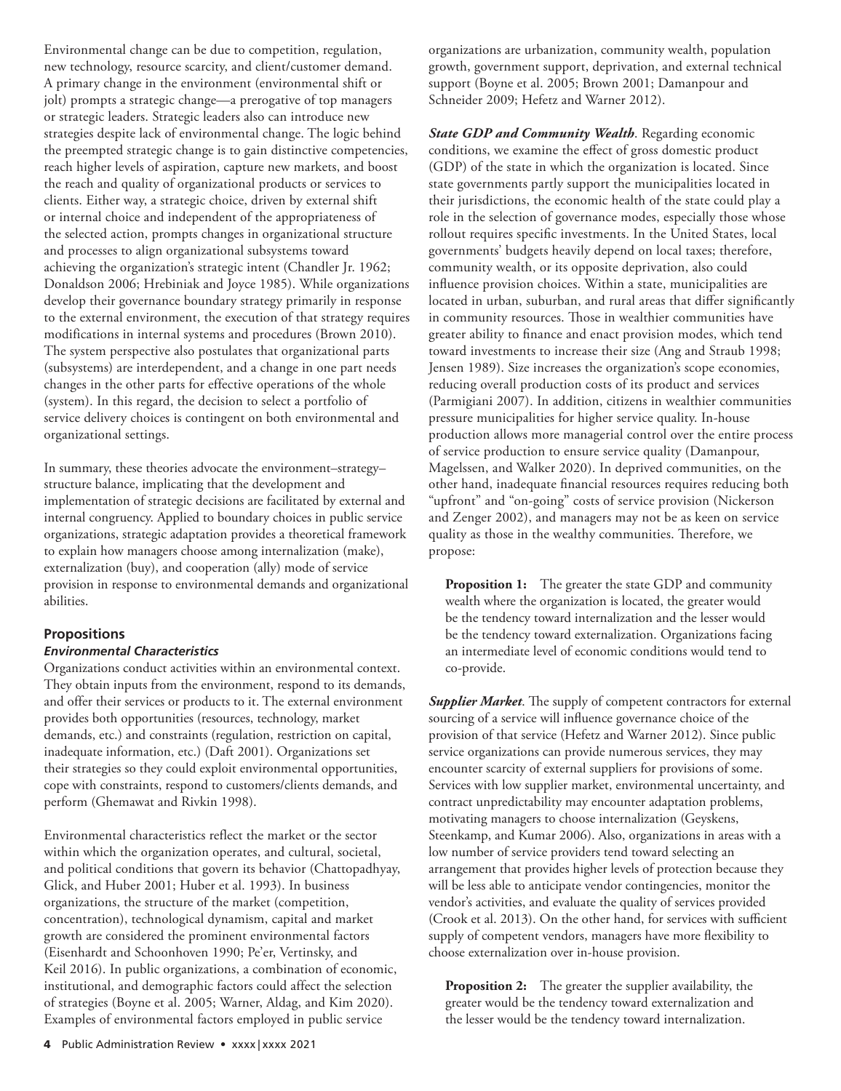Environmental change can be due to competition, regulation, new technology, resource scarcity, and client/customer demand. A primary change in the environment (environmental shift or jolt) prompts a strategic change—a prerogative of top managers or strategic leaders. Strategic leaders also can introduce new strategies despite lack of environmental change. The logic behind the preempted strategic change is to gain distinctive competencies, reach higher levels of aspiration, capture new markets, and boost the reach and quality of organizational products or services to clients. Either way, a strategic choice, driven by external shift or internal choice and independent of the appropriateness of the selected action, prompts changes in organizational structure and processes to align organizational subsystems toward achieving the organization's strategic intent (Chandler Jr. 1962; Donaldson 2006; Hrebiniak and Joyce 1985). While organizations develop their governance boundary strategy primarily in response to the external environment, the execution of that strategy requires modifications in internal systems and procedures (Brown 2010). The system perspective also postulates that organizational parts (subsystems) are interdependent, and a change in one part needs changes in the other parts for effective operations of the whole (system). In this regard, the decision to select a portfolio of service delivery choices is contingent on both environmental and organizational settings.

In summary, these theories advocate the environment–strategy– structure balance, implicating that the development and implementation of strategic decisions are facilitated by external and internal congruency. Applied to boundary choices in public service organizations, strategic adaptation provides a theoretical framework to explain how managers choose among internalization (make), externalization (buy), and cooperation (ally) mode of service provision in response to environmental demands and organizational abilities.

# **Propositions**

# *Environmental Characteristics*

Organizations conduct activities within an environmental context. They obtain inputs from the environment, respond to its demands, and offer their services or products to it. The external environment provides both opportunities (resources, technology, market demands, etc.) and constraints (regulation, restriction on capital, inadequate information, etc.) (Daft 2001). Organizations set their strategies so they could exploit environmental opportunities, cope with constraints, respond to customers/clients demands, and perform (Ghemawat and Rivkin 1998).

Environmental characteristics reflect the market or the sector within which the organization operates, and cultural, societal, and political conditions that govern its behavior (Chattopadhyay, Glick, and Huber 2001; Huber et al. 1993). In business organizations, the structure of the market (competition, concentration), technological dynamism, capital and market growth are considered the prominent environmental factors (Eisenhardt and Schoonhoven 1990; Pe'er, Vertinsky, and Keil 2016). In public organizations, a combination of economic, institutional, and demographic factors could affect the selection of strategies (Boyne et al. 2005; Warner, Aldag, and Kim 2020). Examples of environmental factors employed in public service

organizations are urbanization, community wealth, population growth, government support, deprivation, and external technical support (Boyne et al. 2005; Brown 2001; Damanpour and Schneider 2009; Hefetz and Warner 2012).

*State GDP and Community Wealth*. Regarding economic conditions, we examine the effect of gross domestic product (GDP) of the state in which the organization is located. Since state governments partly support the municipalities located in their jurisdictions, the economic health of the state could play a role in the selection of governance modes, especially those whose rollout requires specific investments. In the United States, local governments' budgets heavily depend on local taxes; therefore, community wealth, or its opposite deprivation, also could influence provision choices. Within a state, municipalities are located in urban, suburban, and rural areas that differ significantly in community resources. Those in wealthier communities have greater ability to finance and enact provision modes, which tend toward investments to increase their size (Ang and Straub 1998; Jensen 1989). Size increases the organization's scope economies, reducing overall production costs of its product and services (Parmigiani 2007). In addition, citizens in wealthier communities pressure municipalities for higher service quality. In-house production allows more managerial control over the entire process of service production to ensure service quality (Damanpour, Magelssen, and Walker 2020). In deprived communities, on the other hand, inadequate financial resources requires reducing both "upfront" and "on-going" costs of service provision (Nickerson and Zenger 2002), and managers may not be as keen on service quality as those in the wealthy communities. Therefore, we propose:

**Proposition 1:** The greater the state GDP and community wealth where the organization is located, the greater would be the tendency toward internalization and the lesser would be the tendency toward externalization. Organizations facing an intermediate level of economic conditions would tend to co-provide.

*Supplier Market*. The supply of competent contractors for external sourcing of a service will influence governance choice of the provision of that service (Hefetz and Warner 2012). Since public service organizations can provide numerous services, they may encounter scarcity of external suppliers for provisions of some. Services with low supplier market, environmental uncertainty, and contract unpredictability may encounter adaptation problems, motivating managers to choose internalization (Geyskens, Steenkamp, and Kumar 2006). Also, organizations in areas with a low number of service providers tend toward selecting an arrangement that provides higher levels of protection because they will be less able to anticipate vendor contingencies, monitor the vendor's activities, and evaluate the quality of services provided (Crook et al. 2013). On the other hand, for services with sufficient supply of competent vendors, managers have more flexibility to choose externalization over in-house provision.

**Proposition 2:** The greater the supplier availability, the greater would be the tendency toward externalization and the lesser would be the tendency toward internalization.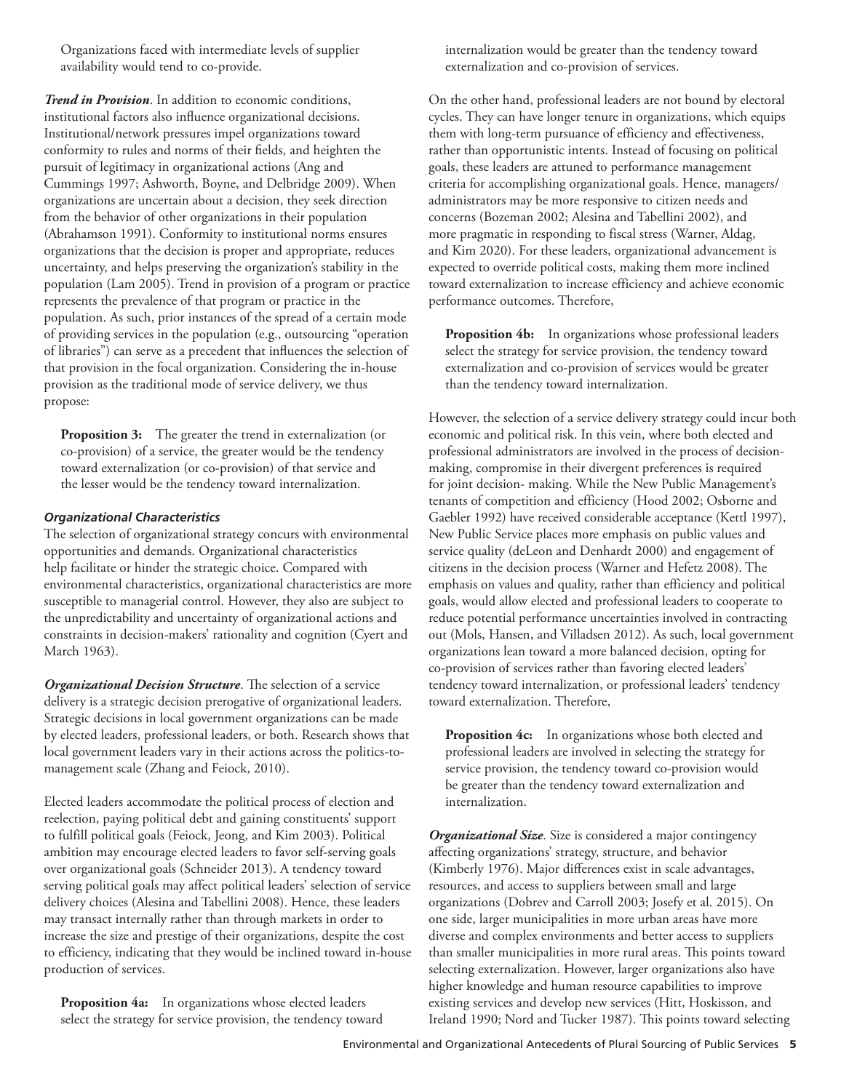Organizations faced with intermediate levels of supplier availability would tend to co-provide.

*Trend in Provision*. In addition to economic conditions, institutional factors also influence organizational decisions. Institutional/network pressures impel organizations toward conformity to rules and norms of their fields, and heighten the pursuit of legitimacy in organizational actions (Ang and Cummings 1997; Ashworth, Boyne, and Delbridge 2009). When organizations are uncertain about a decision, they seek direction from the behavior of other organizations in their population (Abrahamson 1991). Conformity to institutional norms ensures organizations that the decision is proper and appropriate, reduces uncertainty, and helps preserving the organization's stability in the population (Lam 2005). Trend in provision of a program or practice represents the prevalence of that program or practice in the population. As such, prior instances of the spread of a certain mode of providing services in the population (e.g., outsourcing "operation of libraries") can serve as a precedent that influences the selection of that provision in the focal organization. Considering the in-house provision as the traditional mode of service delivery, we thus propose:

**Proposition 3:** The greater the trend in externalization (or co-provision) of a service, the greater would be the tendency toward externalization (or co-provision) of that service and the lesser would be the tendency toward internalization.

#### *Organizational Characteristics*

The selection of organizational strategy concurs with environmental opportunities and demands. Organizational characteristics help facilitate or hinder the strategic choice. Compared with environmental characteristics, organizational characteristics are more susceptible to managerial control. However, they also are subject to the unpredictability and uncertainty of organizational actions and constraints in decision-makers' rationality and cognition (Cyert and March 1963).

*Organizational Decision Structure*. The selection of a service delivery is a strategic decision prerogative of organizational leaders. Strategic decisions in local government organizations can be made by elected leaders, professional leaders, or both. Research shows that local government leaders vary in their actions across the politics-tomanagement scale (Zhang and Feiock, 2010).

Elected leaders accommodate the political process of election and reelection, paying political debt and gaining constituents' support to fulfill political goals (Feiock, Jeong, and Kim 2003). Political ambition may encourage elected leaders to favor self-serving goals over organizational goals (Schneider 2013). A tendency toward serving political goals may affect political leaders' selection of service delivery choices (Alesina and Tabellini 2008). Hence, these leaders may transact internally rather than through markets in order to increase the size and prestige of their organizations, despite the cost to efficiency, indicating that they would be inclined toward in-house production of services.

**Proposition 4a:** In organizations whose elected leaders select the strategy for service provision, the tendency toward internalization would be greater than the tendency toward externalization and co-provision of services.

On the other hand, professional leaders are not bound by electoral cycles. They can have longer tenure in organizations, which equips them with long-term pursuance of efficiency and effectiveness, rather than opportunistic intents. Instead of focusing on political goals, these leaders are attuned to performance management criteria for accomplishing organizational goals. Hence, managers/ administrators may be more responsive to citizen needs and concerns (Bozeman 2002; Alesina and Tabellini 2002), and more pragmatic in responding to fiscal stress (Warner, Aldag, and Kim 2020). For these leaders, organizational advancement is expected to override political costs, making them more inclined toward externalization to increase efficiency and achieve economic performance outcomes. Therefore,

Proposition 4b: In organizations whose professional leaders select the strategy for service provision, the tendency toward externalization and co-provision of services would be greater than the tendency toward internalization.

However, the selection of a service delivery strategy could incur both economic and political risk. In this vein, where both elected and professional administrators are involved in the process of decisionmaking, compromise in their divergent preferences is required for joint decision- making. While the New Public Management's tenants of competition and efficiency (Hood 2002; Osborne and Gaebler 1992) have received considerable acceptance (Kettl 1997), New Public Service places more emphasis on public values and service quality (deLeon and Denhardt 2000) and engagement of citizens in the decision process (Warner and Hefetz 2008). The emphasis on values and quality, rather than efficiency and political goals, would allow elected and professional leaders to cooperate to reduce potential performance uncertainties involved in contracting out (Mols, Hansen, and Villadsen 2012). As such, local government organizations lean toward a more balanced decision, opting for co-provision of services rather than favoring elected leaders' tendency toward internalization, or professional leaders' tendency toward externalization. Therefore,

Proposition 4c: In organizations whose both elected and professional leaders are involved in selecting the strategy for service provision, the tendency toward co-provision would be greater than the tendency toward externalization and internalization.

*Organizational Size*. Size is considered a major contingency affecting organizations' strategy, structure, and behavior (Kimberly 1976). Major differences exist in scale advantages, resources, and access to suppliers between small and large organizations (Dobrev and Carroll 2003; Josefy et al. 2015). On one side, larger municipalities in more urban areas have more diverse and complex environments and better access to suppliers than smaller municipalities in more rural areas. This points toward selecting externalization. However, larger organizations also have higher knowledge and human resource capabilities to improve existing services and develop new services (Hitt, Hoskisson, and Ireland 1990; Nord and Tucker 1987). This points toward selecting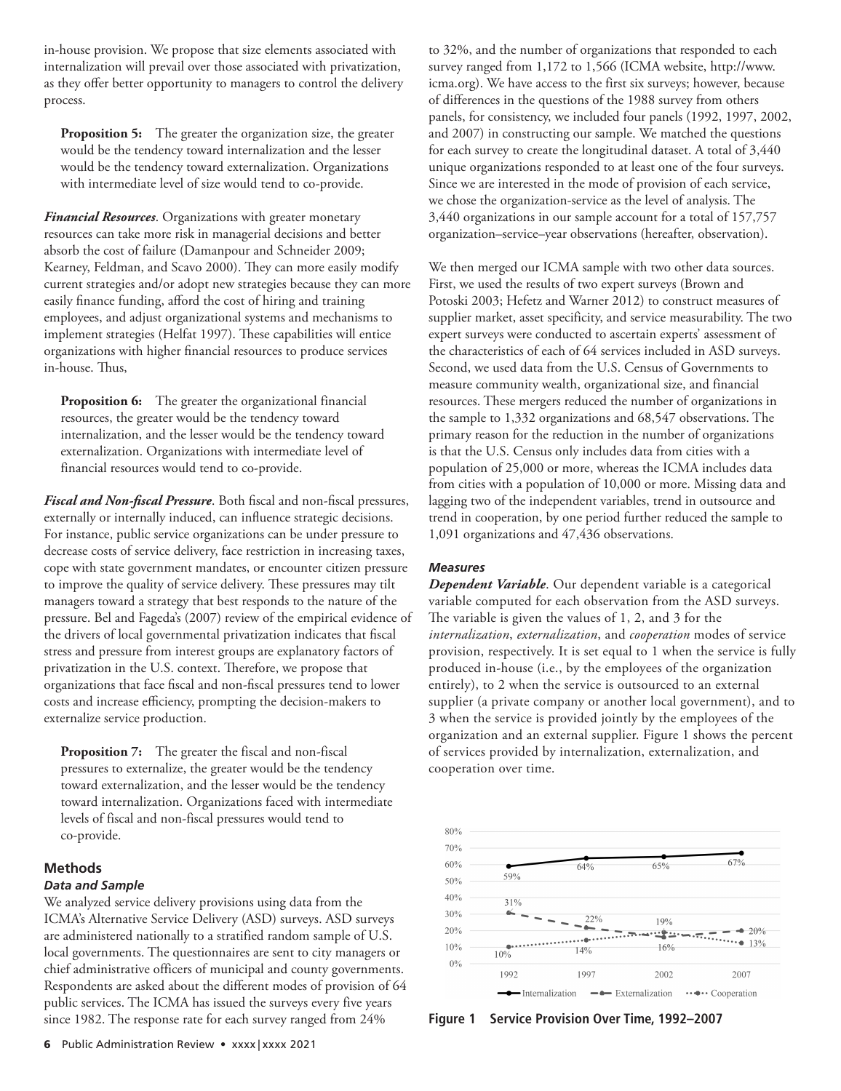in-house provision. We propose that size elements associated with internalization will prevail over those associated with privatization, as they offer better opportunity to managers to control the delivery process.

**Proposition 5:** The greater the organization size, the greater would be the tendency toward internalization and the lesser would be the tendency toward externalization. Organizations with intermediate level of size would tend to co-provide.

*Financial Resources*. Organizations with greater monetary resources can take more risk in managerial decisions and better absorb the cost of failure (Damanpour and Schneider 2009; Kearney, Feldman, and Scavo 2000). They can more easily modify current strategies and/or adopt new strategies because they can more easily finance funding, afford the cost of hiring and training employees, and adjust organizational systems and mechanisms to implement strategies (Helfat 1997). These capabilities will entice organizations with higher financial resources to produce services in-house. Thus,

**Proposition 6:** The greater the organizational financial resources, the greater would be the tendency toward internalization, and the lesser would be the tendency toward externalization. Organizations with intermediate level of financial resources would tend to co-provide.

*Fiscal and Non-fiscal Pressure*. Both fiscal and non-fiscal pressures, externally or internally induced, can influence strategic decisions. For instance, public service organizations can be under pressure to decrease costs of service delivery, face restriction in increasing taxes, cope with state government mandates, or encounter citizen pressure to improve the quality of service delivery. These pressures may tilt managers toward a strategy that best responds to the nature of the pressure. Bel and Fageda's (2007) review of the empirical evidence of the drivers of local governmental privatization indicates that fiscal stress and pressure from interest groups are explanatory factors of privatization in the U.S. context. Therefore, we propose that organizations that face fiscal and non-fiscal pressures tend to lower costs and increase efficiency, prompting the decision-makers to externalize service production.

**Proposition 7:** The greater the fiscal and non-fiscal pressures to externalize, the greater would be the tendency toward externalization, and the lesser would be the tendency toward internalization. Organizations faced with intermediate levels of fiscal and non-fiscal pressures would tend to co-provide.

#### **Methods**

#### *Data and Sample*

We analyzed service delivery provisions using data from the ICMA's Alternative Service Delivery (ASD) surveys. ASD surveys are administered nationally to a stratified random sample of U.S. local governments. The questionnaires are sent to city managers or chief administrative officers of municipal and county governments. Respondents are asked about the different modes of provision of 64 public services. The ICMA has issued the surveys every five years since 1982. The response rate for each survey ranged from 24%

to 32%, and the number of organizations that responded to each survey ranged from 1,172 to 1,566 (ICMA website, http://www. icma.org). We have access to the first six surveys; however, because of differences in the questions of the 1988 survey from others panels, for consistency, we included four panels (1992, 1997, 2002, and 2007) in constructing our sample. We matched the questions for each survey to create the longitudinal dataset. A total of 3,440 unique organizations responded to at least one of the four surveys. Since we are interested in the mode of provision of each service, we chose the organization-service as the level of analysis. The 3,440 organizations in our sample account for a total of 157,757 organization–service–year observations (hereafter, observation).

We then merged our ICMA sample with two other data sources. First, we used the results of two expert surveys (Brown and Potoski 2003; Hefetz and Warner 2012) to construct measures of supplier market, asset specificity, and service measurability. The two expert surveys were conducted to ascertain experts' assessment of the characteristics of each of 64 services included in ASD surveys. Second, we used data from the U.S. Census of Governments to measure community wealth, organizational size, and financial resources. These mergers reduced the number of organizations in the sample to 1,332 organizations and 68,547 observations. The primary reason for the reduction in the number of organizations is that the U.S. Census only includes data from cities with a population of 25,000 or more, whereas the ICMA includes data from cities with a population of 10,000 or more. Missing data and lagging two of the independent variables, trend in outsource and trend in cooperation, by one period further reduced the sample to 1,091 organizations and 47,436 observations.

#### *Measures*

*Dependent Variable*. Our dependent variable is a categorical variable computed for each observation from the ASD surveys. The variable is given the values of 1, 2, and 3 for the *internalization*, *externalization*, and *cooperation* modes of service provision, respectively. It is set equal to 1 when the service is fully produced in-house (i.e., by the employees of the organization entirely), to 2 when the service is outsourced to an external supplier (a private company or another local government), and to 3 when the service is provided jointly by the employees of the organization and an external supplier. Figure 1 shows the percent of services provided by internalization, externalization, and cooperation over time.



**Figure 1 Service Provision Over Time, 1992–2007**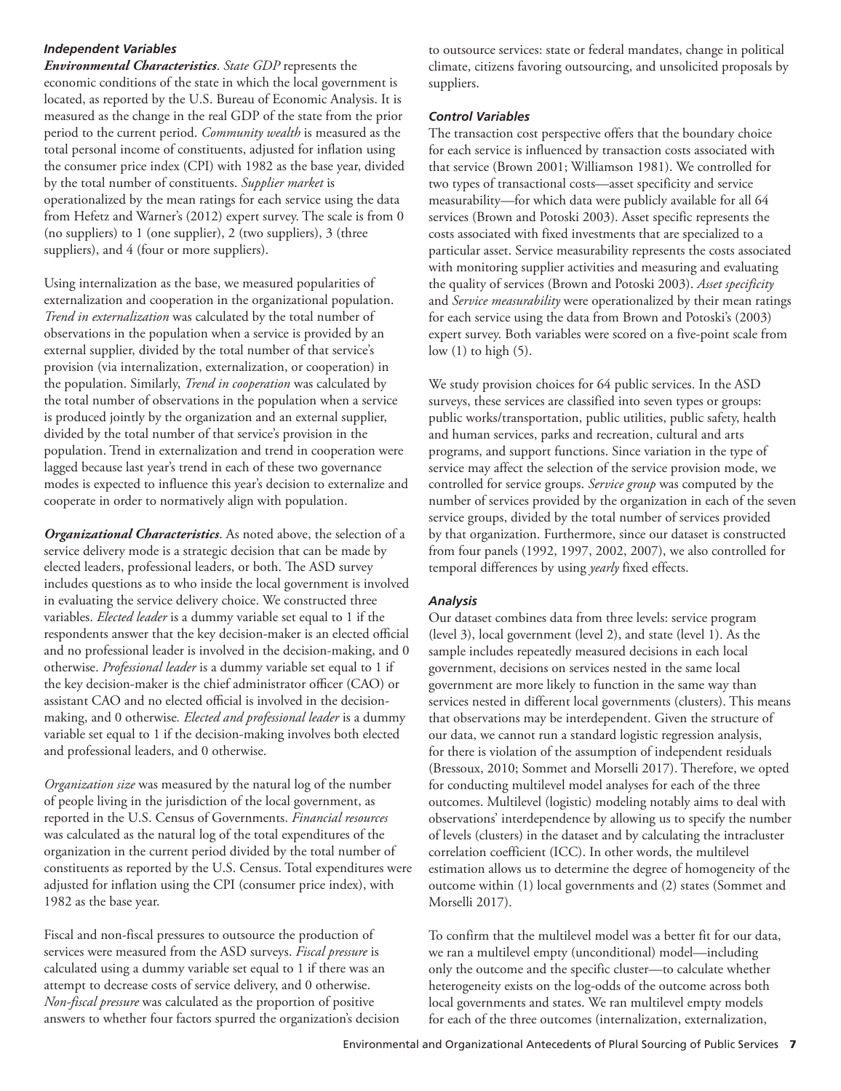# *Independent Variables*

*Environmental Characteristics*. *State GDP* represents the economic conditions of the state in which the local government is located, as reported by the U.S. Bureau of Economic Analysis. It is measured as the change in the real GDP of the state from the prior period to the current period. *Community wealth* is measured as the total personal income of constituents, adjusted for inflation using the consumer price index (CPI) with 1982 as the base year, divided by the total number of constituents. *Supplier market* is operationalized by the mean ratings for each service using the data from Hefetz and Warner's (2012) expert survey. The scale is from 0 (no suppliers) to 1 (one supplier), 2 (two suppliers), 3 (three suppliers), and 4 (four or more suppliers).

Using internalization as the base, we measured popularities of externalization and cooperation in the organizational population. *Trend in externalization* was calculated by the total number of observations in the population when a service is provided by an external supplier, divided by the total number of that service's provision (via internalization, externalization, or cooperation) in the population. Similarly, *Trend in cooperation* was calculated by the total number of observations in the population when a service is produced jointly by the organization and an external supplier, divided by the total number of that service's provision in the population. Trend in externalization and trend in cooperation were lagged because last year's trend in each of these two governance modes is expected to influence this year's decision to externalize and cooperate in order to normatively align with population.

*Organizational Characteristics*. As noted above, the selection of a service delivery mode is a strategic decision that can be made by elected leaders, professional leaders, or both. The ASD survey includes questions as to who inside the local government is involved in evaluating the service delivery choice. We constructed three variables. *Elected leader* is a dummy variable set equal to 1 if the respondents answer that the key decision-maker is an elected official and no professional leader is involved in the decision-making, and 0 otherwise. *Professional leader* is a dummy variable set equal to 1 if the key decision-maker is the chief administrator officer (CAO) or assistant CAO and no elected official is involved in the decisionmaking, and 0 otherwise*. Elected and professional leader* is a dummy variable set equal to 1 if the decision-making involves both elected and professional leaders, and 0 otherwise.

*Organization size* was measured by the natural log of the number of people living in the jurisdiction of the local government, as reported in the U.S. Census of Governments. *Financial resources* was calculated as the natural log of the total expenditures of the organization in the current period divided by the total number of constituents as reported by the U.S. Census. Total expenditures were adjusted for inflation using the CPI (consumer price index), with 1982 as the base year.

Fiscal and non-fiscal pressures to outsource the production of services were measured from the ASD surveys. *Fiscal pressure* is calculated using a dummy variable set equal to 1 if there was an attempt to decrease costs of service delivery, and 0 otherwise. *Non-fiscal pressure* was calculated as the proportion of positive answers to whether four factors spurred the organization's decision to outsource services: state or federal mandates, change in political climate, citizens favoring outsourcing, and unsolicited proposals by suppliers.

#### *Control Variables*

The transaction cost perspective offers that the boundary choice for each service is influenced by transaction costs associated with that service (Brown 2001; Williamson 1981). We controlled for two types of transactional costs—asset specificity and service measurability—for which data were publicly available for all 64 services (Brown and Potoski 2003). Asset specific represents the costs associated with fixed investments that are specialized to a particular asset. Service measurability represents the costs associated with monitoring supplier activities and measuring and evaluating the quality of services (Brown and Potoski 2003). *Asset specificity* and *Service measurability* were operationalized by their mean ratings for each service using the data from Brown and Potoski's (2003) expert survey. Both variables were scored on a five-point scale from low (1) to high (5).

We study provision choices for 64 public services. In the ASD surveys, these services are classified into seven types or groups: public works/transportation, public utilities, public safety, health and human services, parks and recreation, cultural and arts programs, and support functions. Since variation in the type of service may affect the selection of the service provision mode, we controlled for service groups. *Service group* was computed by the number of services provided by the organization in each of the seven service groups, divided by the total number of services provided by that organization. Furthermore, since our dataset is constructed from four panels (1992, 1997, 2002, 2007), we also controlled for temporal differences by using *yearly* fixed effects.

# *Analysis*

Our dataset combines data from three levels: service program (level 3), local government (level 2), and state (level 1). As the sample includes repeatedly measured decisions in each local government, decisions on services nested in the same local government are more likely to function in the same way than services nested in different local governments (clusters). This means that observations may be interdependent. Given the structure of our data, we cannot run a standard logistic regression analysis, for there is violation of the assumption of independent residuals (Bressoux, 2010; Sommet and Morselli 2017). Therefore, we opted for conducting multilevel model analyses for each of the three outcomes. Multilevel (logistic) modeling notably aims to deal with observations' interdependence by allowing us to specify the number of levels (clusters) in the dataset and by calculating the intracluster correlation coefficient (ICC). In other words, the multilevel estimation allows us to determine the degree of homogeneity of the outcome within (1) local governments and (2) states (Sommet and Morselli 2017).

To confirm that the multilevel model was a better fit for our data, we ran a multilevel empty (unconditional) model—including only the outcome and the specific cluster—to calculate whether heterogeneity exists on the log-odds of the outcome across both local governments and states. We ran multilevel empty models for each of the three outcomes (internalization, externalization,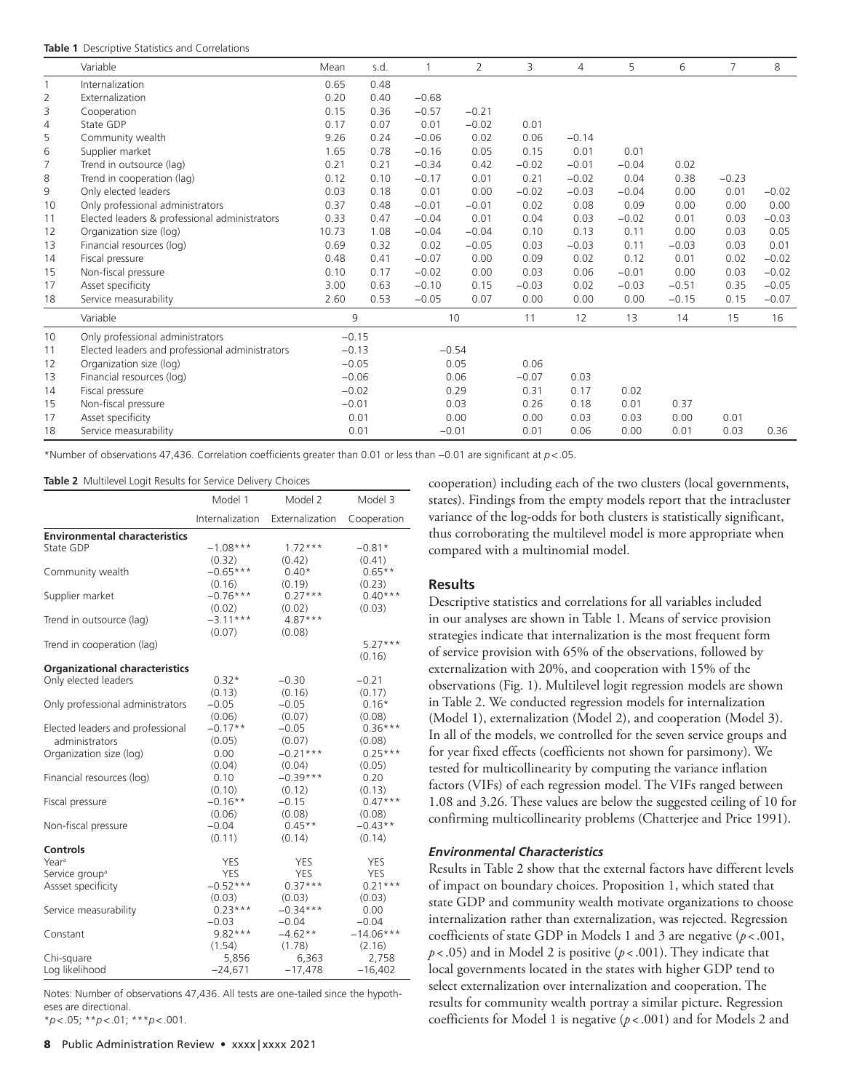|    | Variable                                        | Mean    | s.d. | 1       | 2       | 3       | 4       | 5       | 6       | $\overline{7}$ | 8       |
|----|-------------------------------------------------|---------|------|---------|---------|---------|---------|---------|---------|----------------|---------|
|    | Internalization                                 | 0.65    | 0.48 |         |         |         |         |         |         |                |         |
| 2  | Externalization                                 | 0.20    | 0.40 | $-0.68$ |         |         |         |         |         |                |         |
| 3  | Cooperation                                     | 0.15    | 0.36 | $-0.57$ | $-0.21$ |         |         |         |         |                |         |
| 4  | State GDP                                       | 0.17    | 0.07 | 0.01    | $-0.02$ | 0.01    |         |         |         |                |         |
| 5  | Community wealth                                | 9.26    | 0.24 | $-0.06$ | 0.02    | 0.06    | $-0.14$ |         |         |                |         |
| 6  | Supplier market                                 | 1.65    | 0.78 | $-0.16$ | 0.05    | 0.15    | 0.01    | 0.01    |         |                |         |
| 7  | Trend in outsource (lag)                        | 0.21    | 0.21 | $-0.34$ | 0.42    | $-0.02$ | $-0.01$ | $-0.04$ | 0.02    |                |         |
| 8  | Trend in cooperation (lag)                      | 0.12    | 0.10 | $-0.17$ | 0.01    | 0.21    | $-0.02$ | 0.04    | 0.38    | $-0.23$        |         |
| 9  | Only elected leaders                            | 0.03    | 0.18 | 0.01    | 0.00    | $-0.02$ | $-0.03$ | $-0.04$ | 0.00    | 0.01           | $-0.02$ |
| 10 | Only professional administrators                | 0.37    | 0.48 | $-0.01$ | $-0.01$ | 0.02    | 0.08    | 0.09    | 0.00    | 0.00           | 0.00    |
| 11 | Elected leaders & professional administrators   | 0.33    | 0.47 | $-0.04$ | 0.01    | 0.04    | 0.03    | $-0.02$ | 0.01    | 0.03           | $-0.03$ |
| 12 | Organization size (log)                         | 10.73   | 1.08 | $-0.04$ | $-0.04$ | 0.10    | 0.13    | 0.11    | 0.00    | 0.03           | 0.05    |
| 13 | Financial resources (log)                       | 0.69    | 0.32 | 0.02    | $-0.05$ | 0.03    | $-0.03$ | 0.11    | $-0.03$ | 0.03           | 0.01    |
| 14 | Fiscal pressure                                 | 0.48    | 0.41 | $-0.07$ | 0.00    | 0.09    | 0.02    | 0.12    | 0.01    | 0.02           | $-0.02$ |
| 15 | Non-fiscal pressure                             | 0.10    | 0.17 | $-0.02$ | 0.00    | 0.03    | 0.06    | $-0.01$ | 0.00    | 0.03           | $-0.02$ |
| 17 | Asset specificity                               | 3.00    | 0.63 | $-0.10$ | 0.15    | $-0.03$ | 0.02    | $-0.03$ | $-0.51$ | 0.35           | $-0.05$ |
| 18 | Service measurability                           | 2.60    | 0.53 | $-0.05$ | 0.07    | 0.00    | 0.00    | 0.00    | $-0.15$ | 0.15           | $-0.07$ |
|    | Variable                                        | 9       |      |         | 10      | 11      | 12      | 13      | 14      | 15             | 16      |
| 10 | Only professional administrators                | $-0.15$ |      |         |         |         |         |         |         |                |         |
| 11 | Elected leaders and professional administrators | $-0.13$ |      | $-0.54$ |         |         |         |         |         |                |         |
| 12 | Organization size (log)                         | $-0.05$ |      | 0.05    |         | 0.06    |         |         |         |                |         |
| 13 | Financial resources (log)                       | $-0.06$ |      | 0.06    |         | $-0.07$ | 0.03    |         |         |                |         |
| 14 | Fiscal pressure                                 | $-0.02$ |      | 0.29    |         | 0.31    | 0.17    | 0.02    |         |                |         |
| 15 | Non-fiscal pressure                             | $-0.01$ |      | 0.03    |         | 0.26    | 0.18    | 0.01    | 0.37    |                |         |
| 17 | Asset specificity                               | 0.01    |      | 0.00    |         | 0.00    | 0.03    | 0.03    | 0.00    | 0.01           |         |
| 18 | Service measurability                           | 0.01    |      | $-0.01$ |         | 0.01    | 0.06    | 0.00    | 0.01    | 0.03           | 0.36    |

\*Number of observations 47,436. Correlation coefficients greater than 0.01 or less than −0.01 are significant at *p*<.05.

#### **Table 2** Multilevel Logit Results for Service Delivery Choices

|                                       | Model 1         | Model 2         | Model 3     |  |
|---------------------------------------|-----------------|-----------------|-------------|--|
|                                       | Internalization | Externalization | Cooperation |  |
| <b>Environmental characteristics</b>  |                 |                 |             |  |
| State GDP                             | $-1.08***$      | $1.72***$       | $-0.81*$    |  |
|                                       | (0.32)          | (0.42)          | (0.41)      |  |
| Community wealth                      | $-0.65***$      | $0.40*$         | $0.65**$    |  |
|                                       | (0.16)          | (0.19)          | (0.23)      |  |
| Supplier market                       | $-0.76***$      | $0.27***$       | $0.40***$   |  |
|                                       | (0.02)          | (0.02)          | (0.03)      |  |
| Trend in outsource (lag)              | $-3.11***$      | $4.87***$       |             |  |
|                                       | (0.07)          | (0.08)          |             |  |
| Trend in cooperation (lag)            |                 |                 | $5.27***$   |  |
|                                       |                 |                 | (0.16)      |  |
| <b>Organizational characteristics</b> |                 |                 |             |  |
| Only elected leaders                  | $0.32*$         | $-0.30$         | $-0.21$     |  |
|                                       | (0.13)          | (0.16)          | (0.17)      |  |
| Only professional administrators      | $-0.05$         | $-0.05$         | $0.16*$     |  |
|                                       | (0.06)          | (0.07)          | (0.08)      |  |
| Elected leaders and professional      | $-0.17**$       | $-0.05$         | $0.36***$   |  |
| administrators                        | (0.05)          | (0.07)          | (0.08)      |  |
| Organization size (log)               | 0.00            | $-0.21***$      | $0.25***$   |  |
|                                       | (0.04)          | (0.04)          | (0.05)      |  |
| Financial resources (log)             | 0.10            | $-0.39***$      | 0.20        |  |
|                                       | (0.10)          | (0.12)          | (0.13)      |  |
| Fiscal pressure                       | $-0.16**$       | $-0.15$         | $0.47***$   |  |
|                                       | (0.06)          | (0.08)          | (0.08)      |  |
| Non-fiscal pressure                   | $-0.04$         | $0.45**$        | $-0.43**$   |  |
|                                       | (0.11)          | (0.14)          | (0.14)      |  |
| <b>Controls</b>                       |                 |                 |             |  |
| Year <sup>a</sup>                     | YES             | YES             | YES         |  |
| Service group <sup>a</sup>            | <b>YES</b>      | <b>YES</b>      | YES         |  |
| Assset specificity                    | $-0.52***$      | $0.37***$       | $0.21***$   |  |
|                                       | (0.03)          | (0.03)          | (0.03)      |  |
| Service measurability                 | $0.23***$       | $-0.34***$      | 0.00        |  |
|                                       | $-0.03$         | $-0.04$         | $-0.04$     |  |
| Constant                              | $9.82***$       | $-4.62**$       | $-14.06***$ |  |
|                                       | (1.54)          | (1.78)          | (2.16)      |  |
| Chi-square                            | 5,856           | 6,363           | 2,758       |  |
| Loa likelihood                        | $-24.671$       | $-17.478$       | $-16.402$   |  |

Notes: Number of observations 47,436. All tests are one-tailed since the hypotheses are directional.

\**p*<.05; \*\**p*<.01; \*\*\**p*<.001.

cooperation) including each of the two clusters (local governments, states). Findings from the empty models report that the intracluster variance of the log-odds for both clusters is statistically significant, thus corroborating the multilevel model is more appropriate when compared with a multinomial model.

#### **Results**

Descriptive statistics and correlations for all variables included in our analyses are shown in Table 1. Means of service provision strategies indicate that internalization is the most frequent form of service provision with 65% of the observations, followed by externalization with 20%, and cooperation with 15% of the observations (Fig. 1). Multilevel logit regression models are shown in Table 2. We conducted regression models for internalization (Model 1), externalization (Model 2), and cooperation (Model 3). In all of the models, we controlled for the seven service groups and for year fixed effects (coefficients not shown for parsimony). We tested for multicollinearity by computing the variance inflation factors (VIFs) of each regression model. The VIFs ranged between 1.08 and 3.26. These values are below the suggested ceiling of 10 for confirming multicollinearity problems (Chatterjee and Price 1991).

#### *Environmental Characteristics*

Results in Table 2 show that the external factors have different levels of impact on boundary choices. Proposition 1, which stated that state GDP and community wealth motivate organizations to choose internalization rather than externalization, was rejected. Regression coefficients of state GDP in Models 1 and 3 are negative (*p* <.001, *p*<.05) and in Model 2 is positive (*p*<.001). They indicate that local governments located in the states with higher GDP tend to select externalization over internalization and cooperation. The results for community wealth portray a similar picture. Regression coefficients for Model 1 is negative (*p*<.001) and for Models 2 and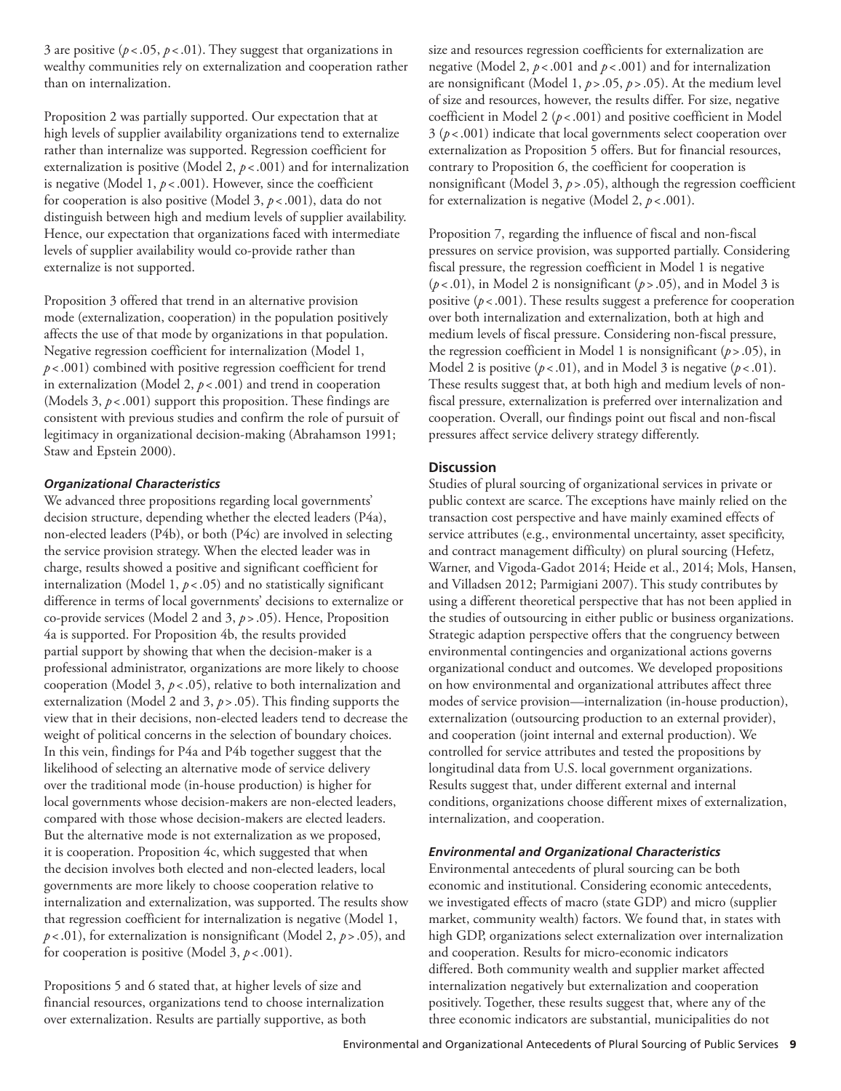3 are positive  $(p < .05, p < .01)$ . They suggest that organizations in wealthy communities rely on externalization and cooperation rather than on internalization.

Proposition 2 was partially supported. Our expectation that at high levels of supplier availability organizations tend to externalize rather than internalize was supported. Regression coefficient for externalization is positive (Model 2,  $p < .001$ ) and for internalization is negative (Model 1, *p*<.001). However, since the coefficient for cooperation is also positive (Model 3, *p*<.001), data do not distinguish between high and medium levels of supplier availability. Hence, our expectation that organizations faced with intermediate levels of supplier availability would co-provide rather than externalize is not supported.

Proposition 3 offered that trend in an alternative provision mode (externalization, cooperation) in the population positively affects the use of that mode by organizations in that population. Negative regression coefficient for internalization (Model 1, *p* <.001) combined with positive regression coefficient for trend in externalization (Model 2,  $p < .001$ ) and trend in cooperation (Models 3, *p*<.001) support this proposition. These findings are consistent with previous studies and confirm the role of pursuit of legitimacy in organizational decision-making (Abrahamson 1991; Staw and Epstein 2000).

#### *Organizational Characteristics*

We advanced three propositions regarding local governments' decision structure, depending whether the elected leaders (P4a), non-elected leaders (P4b), or both (P4c) are involved in selecting the service provision strategy. When the elected leader was in charge, results showed a positive and significant coefficient for internalization (Model 1, *p*<.05) and no statistically significant difference in terms of local governments' decisions to externalize or co-provide services (Model 2 and 3, *p*>.05). Hence, Proposition 4a is supported. For Proposition 4b, the results provided partial support by showing that when the decision-maker is a professional administrator, organizations are more likely to choose cooperation (Model 3, *p*< .05), relative to both internalization and externalization (Model 2 and 3, *p*>.05). This finding supports the view that in their decisions, non-elected leaders tend to decrease the weight of political concerns in the selection of boundary choices. In this vein, findings for P4a and P4b together suggest that the likelihood of selecting an alternative mode of service delivery over the traditional mode (in-house production) is higher for local governments whose decision-makers are non-elected leaders, compared with those whose decision-makers are elected leaders. But the alternative mode is not externalization as we proposed, it is cooperation. Proposition 4c, which suggested that when the decision involves both elected and non-elected leaders, local governments are more likely to choose cooperation relative to internalization and externalization, was supported. The results show that regression coefficient for internalization is negative (Model 1, *p* <.01), for externalization is nonsignificant (Model 2, *p*>.05), and for cooperation is positive (Model 3, *p*<.001).

Propositions 5 and 6 stated that, at higher levels of size and financial resources, organizations tend to choose internalization over externalization. Results are partially supportive, as both

size and resources regression coefficients for externalization are negative (Model 2, *p* <.001 and *p* <.001) and for internalization are nonsignificant (Model 1, *p*>.05, *p* >.05). At the medium level of size and resources, however, the results differ. For size, negative coefficient in Model 2 (*p* <.001) and positive coefficient in Model  $3 (p<.001)$  indicate that local governments select cooperation over externalization as Proposition 5 offers. But for financial resources, contrary to Proposition 6, the coefficient for cooperation is nonsignificant (Model 3, *p* >.05), although the regression coefficient for externalization is negative (Model 2, *p*<.001).

Proposition 7, regarding the influence of fiscal and non-fiscal pressures on service provision, was supported partially. Considering fiscal pressure, the regression coefficient in Model 1 is negative (*p*<.01), in Model 2 is nonsignificant (*p* >.05), and in Model 3 is positive ( $p$  < .001). These results suggest a preference for cooperation over both internalization and externalization, both at high and medium levels of fiscal pressure. Considering non-fiscal pressure, the regression coefficient in Model 1 is nonsignificant (*p*>.05), in Model 2 is positive  $(p < .01)$ , and in Model 3 is negative  $(p < .01)$ . These results suggest that, at both high and medium levels of nonfiscal pressure, externalization is preferred over internalization and cooperation. Overall, our findings point out fiscal and non-fiscal pressures affect service delivery strategy differently.

### **Discussion**

Studies of plural sourcing of organizational services in private or public context are scarce. The exceptions have mainly relied on the transaction cost perspective and have mainly examined effects of service attributes (e.g., environmental uncertainty, asset specificity, and contract management difficulty) on plural sourcing (Hefetz, Warner, and Vigoda-Gadot 2014; Heide et al., 2014; Mols, Hansen, and Villadsen 2012; Parmigiani 2007). This study contributes by using a different theoretical perspective that has not been applied in the studies of outsourcing in either public or business organizations. Strategic adaption perspective offers that the congruency between environmental contingencies and organizational actions governs organizational conduct and outcomes. We developed propositions on how environmental and organizational attributes affect three modes of service provision—internalization (in-house production), externalization (outsourcing production to an external provider), and cooperation (joint internal and external production). We controlled for service attributes and tested the propositions by longitudinal data from U.S. local government organizations. Results suggest that, under different external and internal conditions, organizations choose different mixes of externalization, internalization, and cooperation.

#### *Environmental and Organizational Characteristics*

Environmental antecedents of plural sourcing can be both economic and institutional. Considering economic antecedents, we investigated effects of macro (state GDP) and micro (supplier market, community wealth) factors. We found that, in states with high GDP, organizations select externalization over internalization and cooperation. Results for micro-economic indicators differed. Both community wealth and supplier market affected internalization negatively but externalization and cooperation positively. Together, these results suggest that, where any of the three economic indicators are substantial, municipalities do not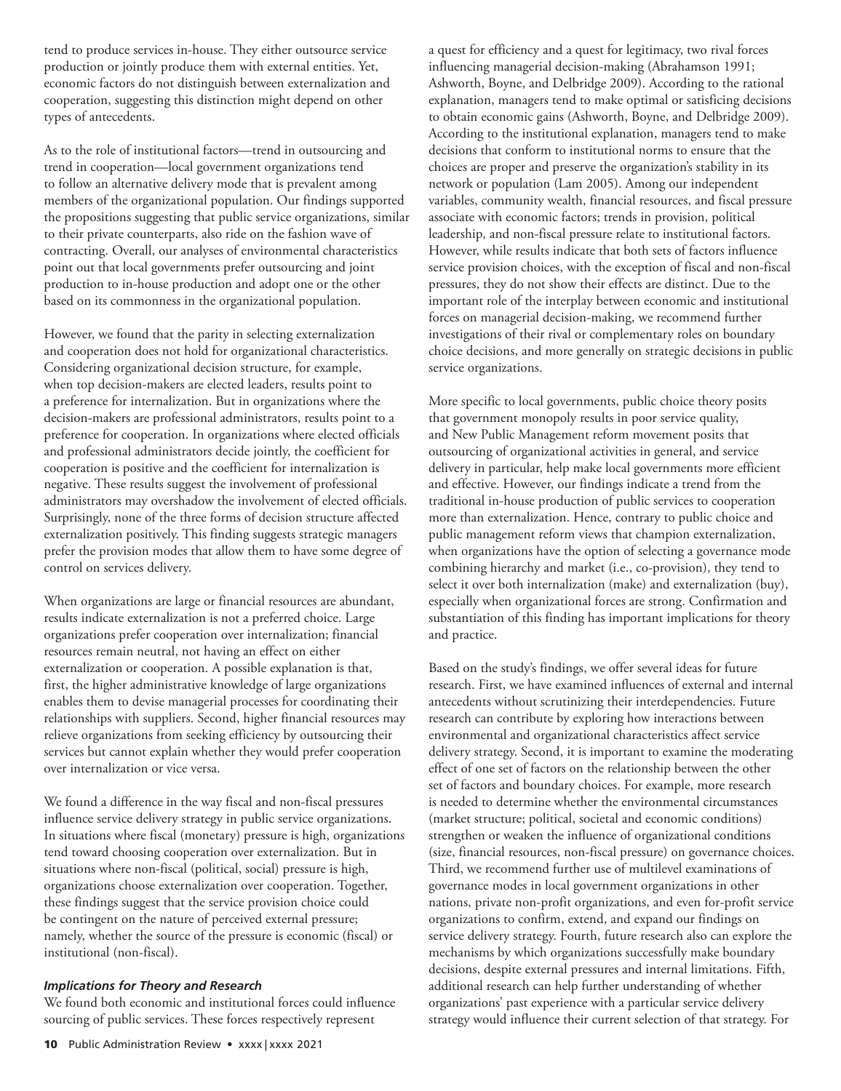tend to produce services in-house. They either outsource service production or jointly produce them with external entities. Yet, economic factors do not distinguish between externalization and cooperation, suggesting this distinction might depend on other types of antecedents.

As to the role of institutional factors—trend in outsourcing and trend in cooperation—local government organizations tend to follow an alternative delivery mode that is prevalent among members of the organizational population. Our findings supported the propositions suggesting that public service organizations, similar to their private counterparts, also ride on the fashion wave of contracting. Overall, our analyses of environmental characteristics point out that local governments prefer outsourcing and joint production to in-house production and adopt one or the other based on its commonness in the organizational population.

However, we found that the parity in selecting externalization and cooperation does not hold for organizational characteristics. Considering organizational decision structure, for example, when top decision-makers are elected leaders, results point to a preference for internalization. But in organizations where the decision-makers are professional administrators, results point to a preference for cooperation. In organizations where elected officials and professional administrators decide jointly, the coefficient for cooperation is positive and the coefficient for internalization is negative. These results suggest the involvement of professional administrators may overshadow the involvement of elected officials. Surprisingly, none of the three forms of decision structure affected externalization positively. This finding suggests strategic managers prefer the provision modes that allow them to have some degree of control on services delivery.

When organizations are large or financial resources are abundant, results indicate externalization is not a preferred choice. Large organizations prefer cooperation over internalization; financial resources remain neutral, not having an effect on either externalization or cooperation. A possible explanation is that, first, the higher administrative knowledge of large organizations enables them to devise managerial processes for coordinating their relationships with suppliers. Second, higher financial resources may relieve organizations from seeking efficiency by outsourcing their services but cannot explain whether they would prefer cooperation over internalization or vice versa.

We found a difference in the way fiscal and non-fiscal pressures influence service delivery strategy in public service organizations. In situations where fiscal (monetary) pressure is high, organizations tend toward choosing cooperation over externalization. But in situations where non-fiscal (political, social) pressure is high, organizations choose externalization over cooperation. Together, these findings suggest that the service provision choice could be contingent on the nature of perceived external pressure; namely, whether the source of the pressure is economic (fiscal) or institutional (non-fiscal).

#### *Implications for Theory and Research*

We found both economic and institutional forces could influence sourcing of public services. These forces respectively represent

a quest for efficiency and a quest for legitimacy, two rival forces influencing managerial decision-making (Abrahamson 1991; Ashworth, Boyne, and Delbridge 2009). According to the rational explanation, managers tend to make optimal or satisficing decisions to obtain economic gains (Ashworth, Boyne, and Delbridge 2009). According to the institutional explanation, managers tend to make decisions that conform to institutional norms to ensure that the choices are proper and preserve the organization's stability in its network or population (Lam 2005). Among our independent variables, community wealth, financial resources, and fiscal pressure associate with economic factors; trends in provision, political leadership, and non-fiscal pressure relate to institutional factors. However, while results indicate that both sets of factors influence service provision choices, with the exception of fiscal and non-fiscal pressures, they do not show their effects are distinct. Due to the important role of the interplay between economic and institutional forces on managerial decision-making, we recommend further investigations of their rival or complementary roles on boundary choice decisions, and more generally on strategic decisions in public service organizations.

More specific to local governments, public choice theory posits that government monopoly results in poor service quality, and New Public Management reform movement posits that outsourcing of organizational activities in general, and service delivery in particular, help make local governments more efficient and effective. However, our findings indicate a trend from the traditional in-house production of public services to cooperation more than externalization. Hence, contrary to public choice and public management reform views that champion externalization, when organizations have the option of selecting a governance mode combining hierarchy and market (i.e., co-provision), they tend to select it over both internalization (make) and externalization (buy), especially when organizational forces are strong. Confirmation and substantiation of this finding has important implications for theory and practice.

Based on the study's findings, we offer several ideas for future research. First, we have examined influences of external and internal antecedents without scrutinizing their interdependencies. Future research can contribute by exploring how interactions between environmental and organizational characteristics affect service delivery strategy. Second, it is important to examine the moderating effect of one set of factors on the relationship between the other set of factors and boundary choices. For example, more research is needed to determine whether the environmental circumstances (market structure; political, societal and economic conditions) strengthen or weaken the influence of organizational conditions (size, financial resources, non-fiscal pressure) on governance choices. Third, we recommend further use of multilevel examinations of governance modes in local government organizations in other nations, private non-profit organizations, and even for-profit service organizations to confirm, extend, and expand our findings on service delivery strategy. Fourth, future research also can explore the mechanisms by which organizations successfully make boundary decisions, despite external pressures and internal limitations. Fifth, additional research can help further understanding of whether organizations' past experience with a particular service delivery strategy would influence their current selection of that strategy. For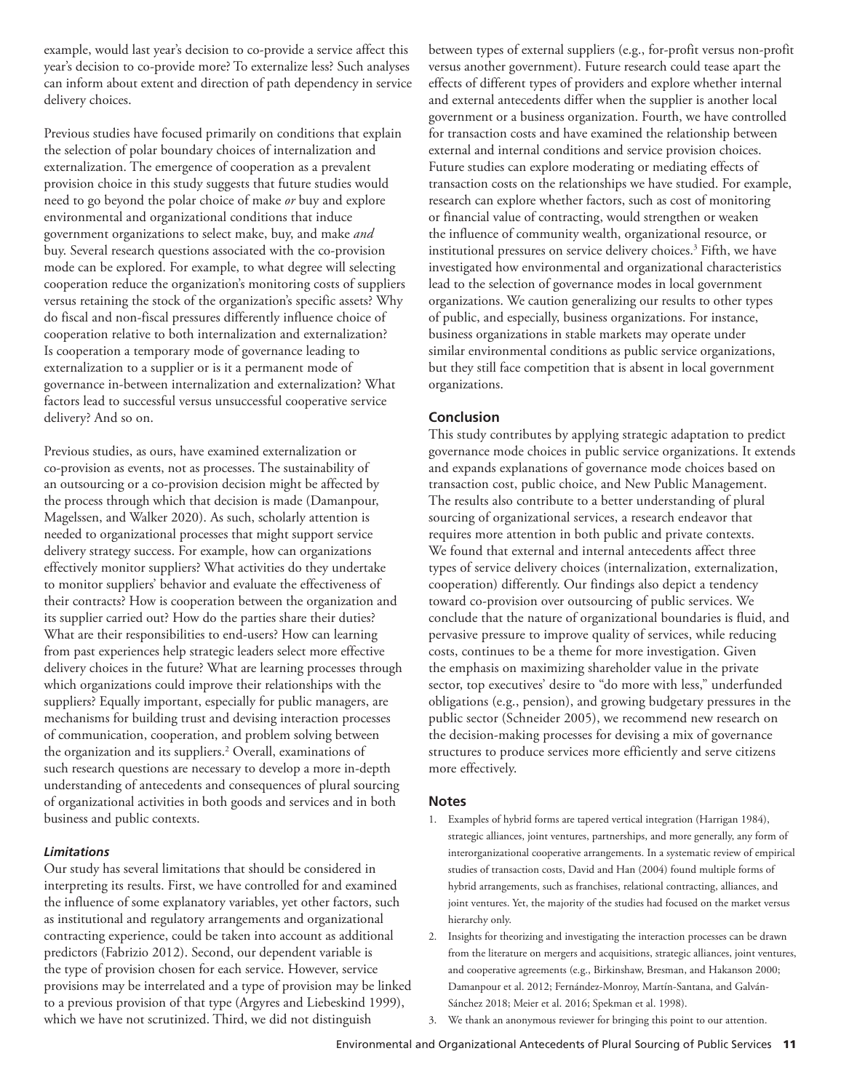example, would last year's decision to co-provide a service affect this year's decision to co-provide more? To externalize less? Such analyses can inform about extent and direction of path dependency in service delivery choices.

Previous studies have focused primarily on conditions that explain the selection of polar boundary choices of internalization and externalization. The emergence of cooperation as a prevalent provision choice in this study suggests that future studies would need to go beyond the polar choice of make *or* buy and explore environmental and organizational conditions that induce government organizations to select make, buy, and make *and* buy. Several research questions associated with the co-provision mode can be explored. For example, to what degree will selecting cooperation reduce the organization's monitoring costs of suppliers versus retaining the stock of the organization's specific assets? Why do fiscal and non-fiscal pressures differently influence choice of cooperation relative to both internalization and externalization? Is cooperation a temporary mode of governance leading to externalization to a supplier or is it a permanent mode of governance in-between internalization and externalization? What factors lead to successful versus unsuccessful cooperative service delivery? And so on.

Previous studies, as ours, have examined externalization or co-provision as events, not as processes. The sustainability of an outsourcing or a co-provision decision might be affected by the process through which that decision is made (Damanpour, Magelssen, and Walker 2020). As such, scholarly attention is needed to organizational processes that might support service delivery strategy success. For example, how can organizations effectively monitor suppliers? What activities do they undertake to monitor suppliers' behavior and evaluate the effectiveness of their contracts? How is cooperation between the organization and its supplier carried out? How do the parties share their duties? What are their responsibilities to end-users? How can learning from past experiences help strategic leaders select more effective delivery choices in the future? What are learning processes through which organizations could improve their relationships with the suppliers? Equally important, especially for public managers, are mechanisms for building trust and devising interaction processes of communication, cooperation, and problem solving between the organization and its suppliers.2 Overall, examinations of such research questions are necessary to develop a more in-depth understanding of antecedents and consequences of plural sourcing of organizational activities in both goods and services and in both business and public contexts.

#### *Limitations*

Our study has several limitations that should be considered in interpreting its results. First, we have controlled for and examined the influence of some explanatory variables, yet other factors, such as institutional and regulatory arrangements and organizational contracting experience, could be taken into account as additional predictors (Fabrizio 2012). Second, our dependent variable is the type of provision chosen for each service. However, service provisions may be interrelated and a type of provision may be linked to a previous provision of that type (Argyres and Liebeskind 1999), which we have not scrutinized. Third, we did not distinguish

between types of external suppliers (e.g., for-profit versus non-profit versus another government). Future research could tease apart the effects of different types of providers and explore whether internal and external antecedents differ when the supplier is another local government or a business organization. Fourth, we have controlled for transaction costs and have examined the relationship between external and internal conditions and service provision choices. Future studies can explore moderating or mediating effects of transaction costs on the relationships we have studied. For example, research can explore whether factors, such as cost of monitoring or financial value of contracting, would strengthen or weaken the influence of community wealth, organizational resource, or institutional pressures on service delivery choices.3 Fifth, we have investigated how environmental and organizational characteristics lead to the selection of governance modes in local government organizations. We caution generalizing our results to other types of public, and especially, business organizations. For instance, business organizations in stable markets may operate under similar environmental conditions as public service organizations, but they still face competition that is absent in local government organizations.

# **Conclusion**

This study contributes by applying strategic adaptation to predict governance mode choices in public service organizations. It extends and expands explanations of governance mode choices based on transaction cost, public choice, and New Public Management. The results also contribute to a better understanding of plural sourcing of organizational services, a research endeavor that requires more attention in both public and private contexts. We found that external and internal antecedents affect three types of service delivery choices (internalization, externalization, cooperation) differently. Our findings also depict a tendency toward co-provision over outsourcing of public services. We conclude that the nature of organizational boundaries is fluid, and pervasive pressure to improve quality of services, while reducing costs, continues to be a theme for more investigation. Given the emphasis on maximizing shareholder value in the private sector, top executives' desire to "do more with less," underfunded obligations (e.g., pension), and growing budgetary pressures in the public sector (Schneider 2005), we recommend new research on the decision-making processes for devising a mix of governance structures to produce services more efficiently and serve citizens more effectively.

#### **Notes**

- 1. Examples of hybrid forms are tapered vertical integration (Harrigan 1984), strategic alliances, joint ventures, partnerships, and more generally, any form of interorganizational cooperative arrangements. In a systematic review of empirical studies of transaction costs, David and Han (2004) found multiple forms of hybrid arrangements, such as franchises, relational contracting, alliances, and joint ventures. Yet, the majority of the studies had focused on the market versus hierarchy only.
- 2. Insights for theorizing and investigating the interaction processes can be drawn from the literature on mergers and acquisitions, strategic alliances, joint ventures, and cooperative agreements (e.g., Birkinshaw, Bresman, and Hakanson 2000; Damanpour et al. 2012; Fernández-Monroy, Martín-Santana, and Galván-Sánchez 2018; Meier et al. 2016; Spekman et al. 1998).
- 3. We thank an anonymous reviewer for bringing this point to our attention.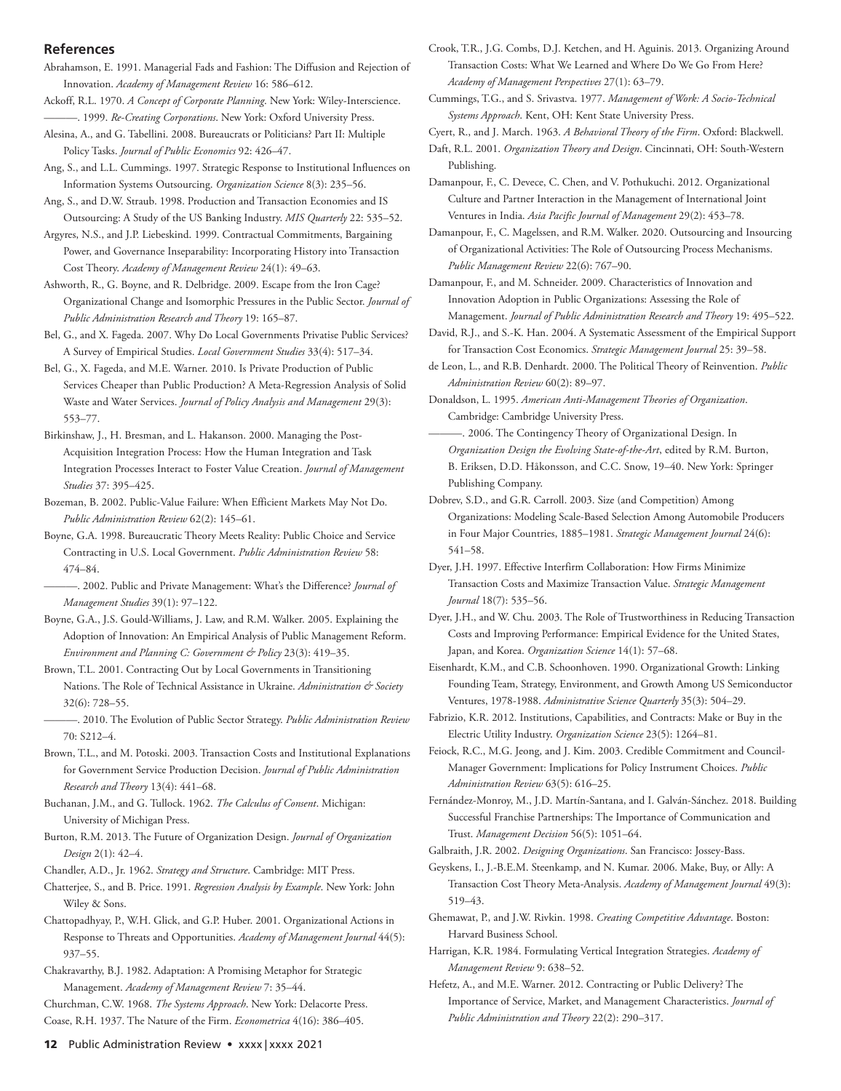#### **References**

Abrahamson, E. 1991. Managerial Fads and Fashion: The Diffusion and Rejection of Innovation. *Academy of Management Review* 16: 586–612.

Ackoff, R.L. 1970. *A Concept of Corporate Planning*. New York: Wiley-Interscience. ———. 1999. *Re-Creating Corporations*. New York: Oxford University Press.

Alesina, A., and G. Tabellini. 2008. Bureaucrats or Politicians? Part II: Multiple Policy Tasks. *Journal of Public Economics* 92: 426–47.

Ang, S., and L.L. Cummings. 1997. Strategic Response to Institutional Influences on Information Systems Outsourcing. *Organization Science* 8(3): 235–56.

Ang, S., and D.W. Straub. 1998. Production and Transaction Economies and IS Outsourcing: A Study of the US Banking Industry. *MIS Quarterly* 22: 535–52.

Argyres, N.S., and J.P. Liebeskind. 1999. Contractual Commitments, Bargaining Power, and Governance Inseparability: Incorporating History into Transaction Cost Theory. *Academy of Management Review* 24(1): 49–63.

Ashworth, R., G. Boyne, and R. Delbridge. 2009. Escape from the Iron Cage? Organizational Change and Isomorphic Pressures in the Public Sector. *Journal of Public Administration Research and Theory* 19: 165–87.

Bel, G., and X. Fageda. 2007. Why Do Local Governments Privatise Public Services? A Survey of Empirical Studies. *Local Government Studies* 33(4): 517–34.

Bel, G., X. Fageda, and M.E. Warner. 2010. Is Private Production of Public Services Cheaper than Public Production? A Meta-Regression Analysis of Solid Waste and Water Services. *Journal of Policy Analysis and Management* 29(3): 553–77.

Birkinshaw, J., H. Bresman, and L. Hakanson. 2000. Managing the Post-Acquisition Integration Process: How the Human Integration and Task Integration Processes Interact to Foster Value Creation. *Journal of Management Studies* 37: 395–425.

Bozeman, B. 2002. Public-Value Failure: When Efficient Markets May Not Do. *Public Administration Review* 62(2): 145–61.

Boyne, G.A. 1998. Bureaucratic Theory Meets Reality: Public Choice and Service Contracting in U.S. Local Government. *Public Administration Review* 58: 474–84.

———. 2002. Public and Private Management: What's the Difference? *Journal of Management Studies* 39(1): 97–122.

Boyne, G.A., J.S. Gould-Williams, J. Law, and R.M. Walker. 2005. Explaining the Adoption of Innovation: An Empirical Analysis of Public Management Reform. *Environment and Planning C: Government & Policy* 23(3): 419–35.

Brown, T.L. 2001. Contracting Out by Local Governments in Transitioning Nations. The Role of Technical Assistance in Ukraine. *Administration & Society* 32(6): 728–55.

———. 2010. The Evolution of Public Sector Strategy. *Public Administration Review* 70: S212–4.

Brown, T.L., and M. Potoski. 2003. Transaction Costs and Institutional Explanations for Government Service Production Decision. *Journal of Public Administration Research and Theory* 13(4): 441–68.

Buchanan, J.M., and G. Tullock. 1962. *The Calculus of Consent*. Michigan: University of Michigan Press.

Burton, R.M. 2013. The Future of Organization Design. *Journal of Organization Design* 2(1): 42–4.

Chandler, A.D., Jr. 1962. *Strategy and Structure*. Cambridge: MIT Press.

Chatterjee, S., and B. Price. 1991. *Regression Analysis by Example*. New York: John Wiley & Sons.

Chattopadhyay, P., W.H. Glick, and G.P. Huber. 2001. Organizational Actions in Response to Threats and Opportunities. *Academy of Management Journal* 44(5): 937–55.

Chakravarthy, B.J. 1982. Adaptation: A Promising Metaphor for Strategic Management. *Academy of Management Review* 7: 35–44.

Churchman, C.W. 1968. *The Systems Approach*. New York: Delacorte Press. Coase, R.H. 1937. The Nature of the Firm. *Econometrica* 4(16): 386–405.

Crook, T.R., J.G. Combs, D.J. Ketchen, and H. Aguinis. 2013. Organizing Around Transaction Costs: What We Learned and Where Do We Go From Here? *Academy of Management Perspectives* 27(1): 63–79.

Cummings, T.G., and S. Srivastva. 1977. *Management of Work: A Socio-Technical Systems Approach*. Kent, OH: Kent State University Press.

Cyert, R., and J. March. 1963. *A Behavioral Theory of the Firm*. Oxford: Blackwell.

Daft, R.L. 2001. *Organization Theory and Design*. Cincinnati, OH: South-Western Publishing.

Damanpour, F., C. Devece, C. Chen, and V. Pothukuchi. 2012. Organizational Culture and Partner Interaction in the Management of International Joint Ventures in India. *Asia Pacific Journal of Management* 29(2): 453–78.

Damanpour, F., C. Magelssen, and R.M. Walker. 2020. Outsourcing and Insourcing of Organizational Activities: The Role of Outsourcing Process Mechanisms. *Public Management Review* 22(6): 767–90.

Damanpour, F., and M. Schneider. 2009. Characteristics of Innovation and Innovation Adoption in Public Organizations: Assessing the Role of Management. *Journal of Public Administration Research and Theory* 19: 495–522.

David, R.J., and S.-K. Han. 2004. A Systematic Assessment of the Empirical Support for Transaction Cost Economics. *Strategic Management Journal* 25: 39–58.

de Leon, L., and R.B. Denhardt. 2000. The Political Theory of Reinvention. *Public Administration Review* 60(2): 89–97.

Donaldson, L. 1995. *American Anti-Management Theories of Organization*. Cambridge: Cambridge University Press.

———. 2006. The Contingency Theory of Organizational Design. In *Organization Design the Evolving State-of-the-Art*, edited by R.M. Burton, B. Eriksen, D.D. Håkonsson, and C.C. Snow, 19–40. New York: Springer Publishing Company.

Dobrev, S.D., and G.R. Carroll. 2003. Size (and Competition) Among Organizations: Modeling Scale-Based Selection Among Automobile Producers in Four Major Countries, 1885–1981. *Strategic Management Journal* 24(6): 541–58.

Dyer, J.H. 1997. Effective Interfirm Collaboration: How Firms Minimize Transaction Costs and Maximize Transaction Value. *Strategic Management Journal* 18(7): 535–56.

Dyer, J.H., and W. Chu. 2003. The Role of Trustworthiness in Reducing Transaction Costs and Improving Performance: Empirical Evidence for the United States, Japan, and Korea. *Organization Science* 14(1): 57–68.

Eisenhardt, K.M., and C.B. Schoonhoven. 1990. Organizational Growth: Linking Founding Team, Strategy, Environment, and Growth Among US Semiconductor Ventures, 1978-1988. *Administrative Science Quarterly* 35(3): 504–29.

Fabrizio, K.R. 2012. Institutions, Capabilities, and Contracts: Make or Buy in the Electric Utility Industry. *Organization Science* 23(5): 1264–81.

Feiock, R.C., M.G. Jeong, and J. Kim. 2003. Credible Commitment and Council-Manager Government: Implications for Policy Instrument Choices. *Public Administration Review* 63(5): 616–25.

Fernández-Monroy, M., J.D. Martín-Santana, and I. Galván-Sánchez. 2018. Building Successful Franchise Partnerships: The Importance of Communication and Trust. *Management Decision* 56(5): 1051–64.

Galbraith, J.R. 2002. *Designing Organizations*. San Francisco: Jossey-Bass.

Geyskens, I., J.-B.E.M. Steenkamp, and N. Kumar. 2006. Make, Buy, or Ally: A Transaction Cost Theory Meta-Analysis. *Academy of Management Journal* 49(3): 519–43.

Ghemawat, P., and J.W. Rivkin. 1998. *Creating Competitive Advantage*. Boston: Harvard Business School.

Harrigan, K.R. 1984. Formulating Vertical Integration Strategies. *Academy of Management Review* 9: 638–52.

Hefetz, A., and M.E. Warner. 2012. Contracting or Public Delivery? The Importance of Service, Market, and Management Characteristics. *Journal of Public Administration and Theory* 22(2): 290–317.